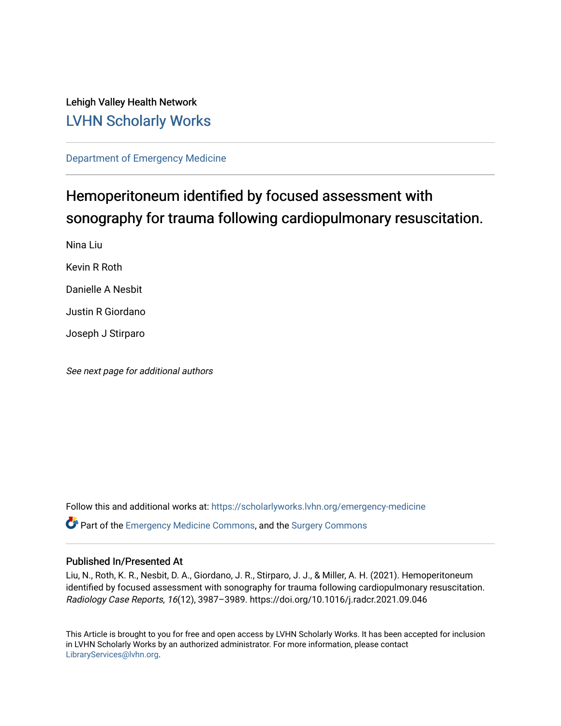## Lehigh Valley Health Network [LVHN Scholarly Works](https://scholarlyworks.lvhn.org/)

[Department of Emergency Medicine](https://scholarlyworks.lvhn.org/emergency-medicine)

# Hemoperitoneum identified by focused assessment with sonography for trauma following cardiopulmonary resuscitation.

Nina Liu

Kevin R Roth

Danielle A Nesbit

Justin R Giordano

Joseph J Stirparo

See next page for additional authors

Follow this and additional works at: [https://scholarlyworks.lvhn.org/emergency-medicine](https://scholarlyworks.lvhn.org/emergency-medicine?utm_source=scholarlyworks.lvhn.org%2Femergency-medicine%2F688&utm_medium=PDF&utm_campaign=PDFCoverPages)  Part of the [Emergency Medicine Commons](https://network.bepress.com/hgg/discipline/685?utm_source=scholarlyworks.lvhn.org%2Femergency-medicine%2F688&utm_medium=PDF&utm_campaign=PDFCoverPages), and the [Surgery Commons](https://network.bepress.com/hgg/discipline/706?utm_source=scholarlyworks.lvhn.org%2Femergency-medicine%2F688&utm_medium=PDF&utm_campaign=PDFCoverPages) 

### Published In/Presented At

Liu, N., Roth, K. R., Nesbit, D. A., Giordano, J. R., Stirparo, J. J., & Miller, A. H. (2021). Hemoperitoneum identified by focused assessment with sonography for trauma following cardiopulmonary resuscitation. Radiology Case Reports, 16(12), 3987–3989. https://doi.org/10.1016/j.radcr.2021.09.046

This Article is brought to you for free and open access by LVHN Scholarly Works. It has been accepted for inclusion in LVHN Scholarly Works by an authorized administrator. For more information, please contact [LibraryServices@lvhn.org](mailto:LibraryServices@lvhn.org).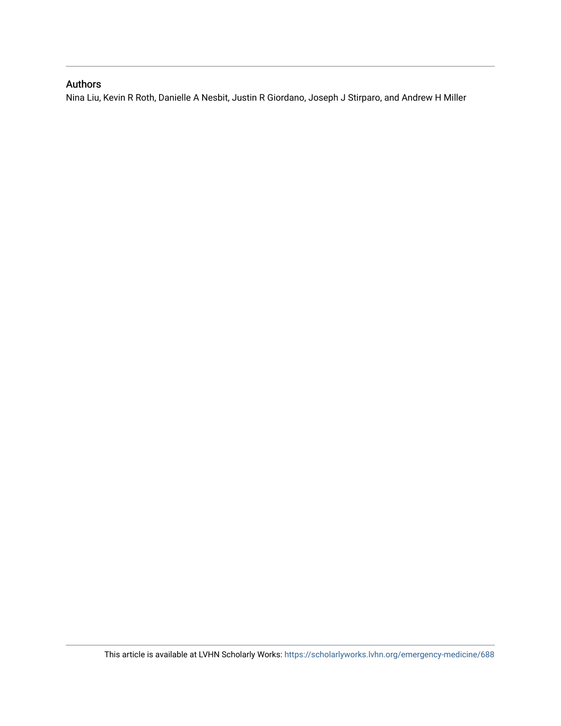## Authors

Nina Liu, Kevin R Roth, Danielle A Nesbit, Justin R Giordano, Joseph J Stirparo, and Andrew H Miller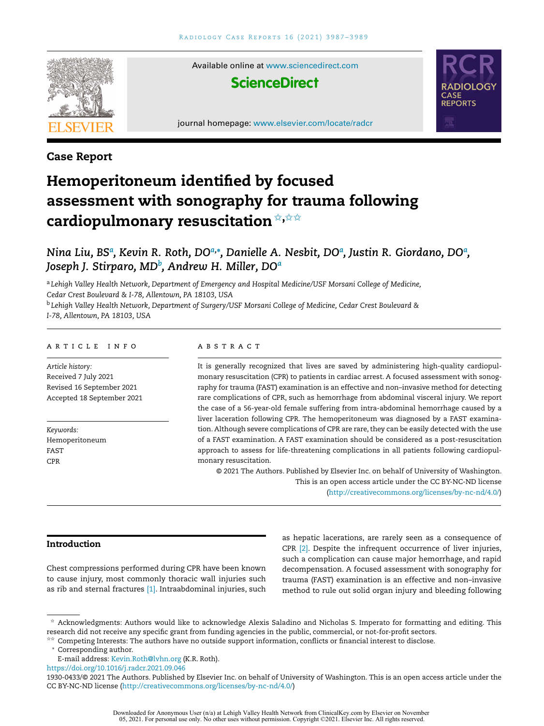

Available online at [www.sciencedirect.com](http://www.sciencedirect.com/science/journal/19300433)

## **ScienceDirect**

journal homepage: [www.elsevier.com/locate/radcr](http://www.elsevier.com/locate/radcr)



### **Case Report**

## **Hemoperitoneum identified by focused assessment with sonography for trauma following cardiopulmonary resuscitation**✩**,**✩✩

## Nina Liu, BSª, Kevin R. Roth, DOª,\*, Danielle A. Nesbit, DOª, Justin R. Giordano, DOª, *Joseph J. Stirparo, MD<sup>b</sup> , Andrew H. Miller, DO<sup>a</sup>*

<sup>a</sup> *Lehigh Valley Health Network, Department of Emergency and Hospital Medicine/USF Morsani College of Medicine, Cedar Crest Boulevard & I-78, Allentown, PA 18103, USA* <sup>b</sup> *Lehigh Valley Health Network, Department of Surgery/USF Morsani College of Medicine, Cedar Crest Boulevard &*

*I-78, Allentown, PA 18103, USA*

#### a r t i c l e i n f o

*Article history:* Received 7 July 2021 Revised 16 September 2021 Accepted 18 September 2021

*Keywords:* Hemoperitoneum FAST CPR

#### a b s t r a c t

It is generally recognized that lives are saved by administering high-quality cardiopulmonary resuscitation (CPR) to patients in cardiac arrest. A focused assessment with sonography for trauma (FAST) examination is an effective and non–invasive method for detecting rare complications of CPR, such as hemorrhage from abdominal visceral injury. We report the case of a 56-year-old female suffering from intra-abdominal hemorrhage caused by a liver laceration following CPR. The hemoperitoneum was diagnosed by a FAST examination. Although severe complications of CPR are rare, they can be easily detected with the use of a FAST examination. A FAST examination should be considered as a post-resuscitation approach to assess for life-threatening complications in all patients following cardiopulmonary resuscitation.

© 2021 The Authors. Published by Elsevier Inc. on behalf of University of Washington. This is an open access article under the CC BY-NC-ND license [\(http://creativecommons.org/licenses/by-nc-nd/4.0/\)](http://creativecommons.org/licenses/by-nc-nd/4.0/)

#### **Introduction**

Chest compressions performed during CPR have been known to cause injury, most commonly thoracic wall injuries such as rib and sternal fractures [\[1\].](#page-4-0) Intraabdominal injuries, such as hepatic lacerations, are rarely seen as a consequence of CPR [\[2\].](#page-4-0) Despite the infrequent occurrence of liver injuries, such a complication can cause major hemorrhage, and rapid decompensation. A focused assessment with sonography for trauma (FAST) examination is an effective and non–invasive method to rule out solid organ injury and bleeding following

 $*$  Acknowledgments: Authors would like to acknowledge Alexis Saladino and Nicholas S. Imperato for formatting and editing. This research did not receive any specific grant from funding agencies in the public, commercial, or not-for-profit sectors.

<sup>✩✩</sup> Competing Interests: The authors have no outside support information, conflicts or financial interest to disclose.

<sup>∗</sup> Corresponding author.

E-mail address: [Kevin.Roth@lvhn.org](mailto:Kevin.Roth@lvhn.org) (K.R. Roth).

<https://doi.org/10.1016/j.radcr.2021.09.046>

<sup>1930-0433/© 2021</sup> The Authors. Published by Elsevier Inc. on behalf of University of Washington. This is an open access article under the CC BY-NC-ND license [\(http://creativecommons.org/licenses/by-nc-nd/4.0/\)](http://creativecommons.org/licenses/by-nc-nd/4.0/)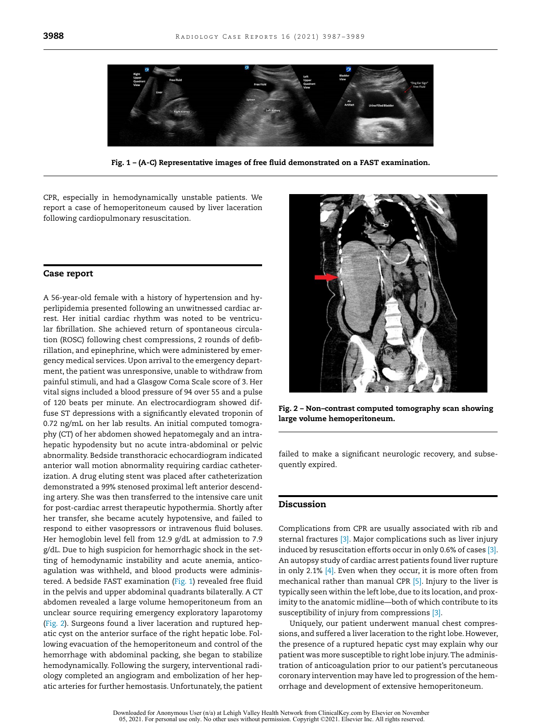

**Fig. 1 – (A-C) Representative images of free fluid demonstrated on a FAST examination.**

CPR, especially in hemodynamically unstable patients. We report a case of hemoperitoneum caused by liver laceration following cardiopulmonary resuscitation.

#### **Case report**

A 56-year-old female with a history of hypertension and hyperlipidemia presented following an unwitnessed cardiac arrest. Her initial cardiac rhythm was noted to be ventricular fibrillation. She achieved return of spontaneous circulation (ROSC) following chest compressions, 2 rounds of defibrillation, and epinephrine, which were administered by emergency medical services. Upon arrival to the emergency department, the patient was unresponsive, unable to withdraw from painful stimuli, and had a Glasgow Coma Scale score of 3. Her vital signs included a blood pressure of 94 over 55 and a pulse of 120 beats per minute. An electrocardiogram showed diffuse ST depressions with a significantly elevated troponin of 0.72 ng/mL on her lab results. An initial computed tomography (CT) of her abdomen showed hepatomegaly and an intrahepatic hypodensity but no acute intra-abdominal or pelvic abnormality. Bedside transthoracic echocardiogram indicated anterior wall motion abnormality requiring cardiac catheterization. A drug eluting stent was placed after catheterization demonstrated a 99% stenosed proximal left anterior descending artery. She was then transferred to the intensive care unit for post-cardiac arrest therapeutic hypothermia. Shortly after her transfer, she became acutely hypotensive, and failed to respond to either vasopressors or intravenous fluid boluses. Her hemoglobin level fell from 12.9 g/dL at admission to 7.9 g/dL. Due to high suspicion for hemorrhagic shock in the setting of hemodynamic instability and acute anemia, anticoagulation was withheld, and blood products were administered. A bedside FAST examination (Fig. 1) revealed free fluid in the pelvis and upper abdominal quadrants bilaterally. A CT abdomen revealed a large volume hemoperitoneum from an unclear source requiring emergency exploratory laparotomy (Fig. 2). Surgeons found a liver laceration and ruptured hepatic cyst on the anterior surface of the right hepatic lobe. Following evacuation of the hemoperitoneum and control of the hemorrhage with abdominal packing, she began to stabilize hemodynamically. Following the surgery, interventional radiology completed an angiogram and embolization of her hepatic arteries for further hemostasis. Unfortunately, the patient



**Fig. 2 – Non–contrast computed tomography scan showing large volume hemoperitoneum.**

failed to make a significant neurologic recovery, and subsequently expired.

#### **Discussion**

Complications from CPR are usually associated with rib and sternal fractures [\[3\].](#page-4-0) Major complications such as liver injury induced by resuscitation efforts occur in only 0.6% of cases [\[3\].](#page-4-0) An autopsy study of cardiac arrest patients found liver rupture in only 2.1%  $[4]$ . Even when they occur, it is more often from mechanical rather than manual CPR [\[5\].](#page-4-0) Injury to the liver is typically seen within the leftlobe,due to its location, and proximity to the anatomic midline—both of which contribute to its susceptibility of injury from compressions [\[3\].](#page-4-0)

Uniquely, our patient underwent manual chest compressions, and suffered a liver laceration to the right lobe. However, the presence of a ruptured hepatic cyst may explain why our patient was more susceptible to right lobe injury.The administration of anticoagulation prior to our patient's percutaneous coronary intervention may have led to progression of the hemorrhage and development of extensive hemoperitoneum.